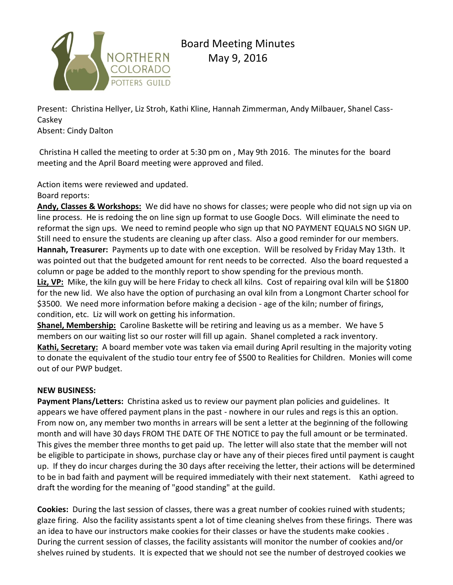

Present: Christina Hellyer, Liz Stroh, Kathi Kline, Hannah Zimmerman, Andy Milbauer, Shanel Cass-Caskey

Absent: Cindy Dalton

Christina H called the meeting to order at 5:30 pm on , May 9th 2016. The minutes for the board meeting and the April Board meeting were approved and filed.

Action items were reviewed and updated.

Board reports:

**Andy, Classes & Workshops:** We did have no shows for classes; were people who did not sign up via on line process. He is redoing the on line sign up format to use Google Docs. Will eliminate the need to reformat the sign ups. We need to remind people who sign up that NO PAYMENT EQUALS NO SIGN UP. Still need to ensure the students are cleaning up after class. Also a good reminder for our members. **Hannah, Treasurer:** Payments up to date with one exception. Will be resolved by Friday May 13th. It was pointed out that the budgeted amount for rent needs to be corrected. Also the board requested a column or page be added to the monthly report to show spending for the previous month.

**Liz, VP:** Mike, the kiln guy will be here Friday to check all kilns. Cost of repairing oval kiln will be \$1800 for the new lid. We also have the option of purchasing an oval kiln from a Longmont Charter school for \$3500. We need more information before making a decision - age of the kiln; number of firings, condition, etc. Liz will work on getting his information.

**Shanel, Membership:** Caroline Baskette will be retiring and leaving us as a member. We have 5 members on our waiting list so our roster will fill up again. Shanel completed a rack inventory. **Kathi, Secretary:** A board member vote was taken via email during April resulting in the majority voting to donate the equivalent of the studio tour entry fee of \$500 to Realities for Children. Monies will come out of our PWP budget.

## **NEW BUSINESS:**

**Payment Plans/Letters:** Christina asked us to review our payment plan policies and guidelines. It appears we have offered payment plans in the past - nowhere in our rules and regs is this an option. From now on, any member two months in arrears will be sent a letter at the beginning of the following month and will have 30 days FROM THE DATE OF THE NOTICE to pay the full amount or be terminated. This gives the member three months to get paid up. The letter will also state that the member will not be eligible to participate in shows, purchase clay or have any of their pieces fired until payment is caught up. If they do incur charges during the 30 days after receiving the letter, their actions will be determined to be in bad faith and payment will be required immediately with their next statement. Kathi agreed to draft the wording for the meaning of "good standing" at the guild.

**Cookies:** During the last session of classes, there was a great number of cookies ruined with students; glaze firing. Also the facility assistants spent a lot of time cleaning shelves from these firings. There was an idea to have our instructors make cookies for their classes or have the students make cookies . During the current session of classes, the facility assistants will monitor the number of cookies and/or shelves ruined by students. It is expected that we should not see the number of destroyed cookies we